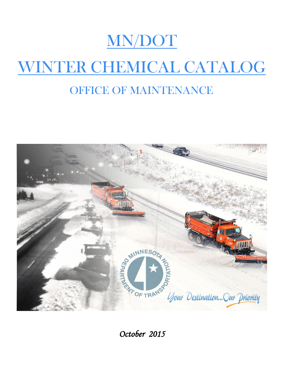

# WINTER CHEMICAL CATALOG

# OFFICE OF MAINTENANCE



*October 2015*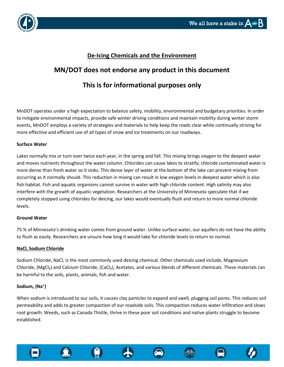

### **De-Icing Chemicals and the Environment**

# **MN/DOT does not endorse any product in this document This is for informational purposes only**

MnDOT operates under a high expectation to balance safety, mobility, environmental and budgetary priorities. In order to mitigate environmental impacts, provide safe winter driving conditions and maintain mobility during winter storm events, MnDOT employs a variety of strategies and materials to help keep the roads clear while continually striving for more effective and efficient use of all types of snow and ice treatments on our roadways.

#### **Surface Water**

Lakes normally mix or turn over twice each year, in the spring and fall. This mixing brings oxygen to the deepest water and moves nutrients throughout the water column. Chlorides can cause lakes to stratify; chloride contaminated water is more dense than fresh water so it sinks. This dense layer of water at the bottom of the lake can prevent mixing from occurring as it normally should. This reduction in mixing can result in low oxygen levels in deepest water which is also fish habitat. Fish and aquatic organisms cannot survive in water with high chloride content. High salinity may also interfere with the growth of aquatic vegetation. Researchers at the University of Minnesota speculate that if we completely stopped using chlorides for deicing, our lakes would eventually flush and return to more normal chloride levels.

#### **Ground Water**

75 % of Minnesota's drinking water comes from ground water. Unlike surface water, our aquifers do not have the ability to flush as easily. Researchers are unsure how long it would take for chloride levels to return to normal.

#### **NaCl, Sodium Chloride**

Sodium Chloride, NaCl, is the most commonly used deicing chemical. Other chemicals used include, Magnesium Chloride, (MgCl₂) and Calcium Chloride, (CaCl₂), Acetates, and various blends of different chemicals. These materials can be harmful to the soils, plants, animals, fish and water.

#### **Sodium, (Na⁺)**

When sodium is introduced to our soils, it causes clay particles to expand and swell, plugging soil pores. This reduces soil permeability and adds to greater compaction of our roadside soils. This compaction reduces water infiltration and slows root growth. Weeds, such as Canada Thistle, thrive in these poor soil conditions and native plants struggle to become established.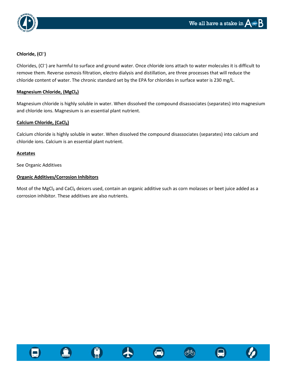

### **Chloride, (Cl⁻)**

Chlorides, (Cl<sup>-</sup>) are harmful to surface and ground water. Once chloride ions attach to water molecules it is difficult to remove them. Reverse osmosis filtration, electro dialysis and distillation, are three processes that will reduce the chloride content of water. The chronic standard set by the EPA for chlorides in surface water is 230 mg/L.

#### **Magnesium Chloride, (MgCl₂)**

Magnesium chloride is highly soluble in water. When dissolved the compound disassociates (separates) into magnesium and chloride ions. Magnesium is an essential plant nutrient.

#### **Calcium Chloride, (CaCl₂)**

Calcium chloride is highly soluble in water. When dissolved the compound disassociates (separates) into calcium and chloride ions. Calcium is an essential plant nutrient.

#### **Acetates**

See Organic Additives

### **Organic Additives/Corrosion Inhibitors**

Most of the MgCl<sub>2</sub> and CaCl<sub>2</sub> deicers used, contain an organic additive such as corn molasses or beet juice added as a corrosion inhibitor. These additives are also nutrients.











ග්ර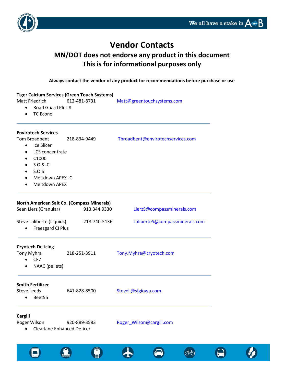$\blacksquare$ 

000



## **Vendor Contacts**

### **MN/DOT does not endorse any product in this document This is for informational purposes only**

**Always contact the vendor of any product for recommendations before purchase or use**

| <b>Tiger Calcium Services (Green Touch Systems)</b><br><b>Matt Friedrich</b>                                                                                                                          |                                                   |                                                            |                                   |  |
|-------------------------------------------------------------------------------------------------------------------------------------------------------------------------------------------------------|---------------------------------------------------|------------------------------------------------------------|-----------------------------------|--|
| $\bullet$<br>٠                                                                                                                                                                                        | <b>Road Guard Plus 8</b><br><b>TC Econo</b>       | 612-481-8731                                               | Matt@greentouchsystems.com        |  |
|                                                                                                                                                                                                       | <b>Envirotech Services</b>                        |                                                            |                                   |  |
| Tom Broadbent<br>218-834-9449<br>Ice Slicer<br>$\bullet$<br>LCS concentrate<br>$\bullet$<br>C1000<br>٠<br>$S.O.S-C$<br>٠<br>S.0.S<br>$\bullet$<br>Meltdown APEX -C<br>٠<br>Meltdown APEX<br>$\bullet$ |                                                   |                                                            | Tbroadbent@envirotechservices.com |  |
|                                                                                                                                                                                                       | Sean Lierz (Granular)                             | North American Salt Co. (Compass Minerals)<br>913.344.9330 | LierzS@compassminerals.com        |  |
|                                                                                                                                                                                                       | Steve Laliberte (Liquids)<br>Freezgard CI Plus    | 218-740-5136                                               | LaliberteS@compassminerals.com    |  |
| Tony Myhra<br>$\bullet$<br>$\bullet$                                                                                                                                                                  | <b>Cryotech De-icing</b><br>CF7<br>NAAC (pellets) | 218-251-3911                                               | Tony.Myhra@cryotech.com           |  |
| <b>Steve Leeds</b><br>$\bullet$                                                                                                                                                                       | <b>Smith Fertilizer</b><br>Beet55                 | 641-828-8500                                               | SteveL@sfgiowa.com                |  |
| <b>Cargill</b><br>$\bullet$                                                                                                                                                                           | Roger Wilson<br><b>Clearlane Enhanced De-icer</b> | 920-889-3583                                               | Roger_Wilson@cargill.com          |  |

 $\bigoplus$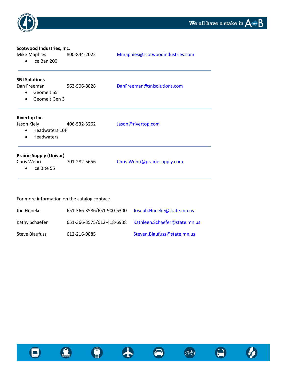$\boldsymbol{\varnothing}$ 

 $\boldsymbol{\Theta}$ 

66



| Scotwood Industries, Inc.                                                               |              |                                 |
|-----------------------------------------------------------------------------------------|--------------|---------------------------------|
| Mike Maphies<br>Ice Ban 200                                                             | 800-844-2022 | Mmaphies@scotwoodindustries.com |
| <b>SNI Solutions</b>                                                                    |              |                                 |
| Dan Freeman<br>Geomelt 55<br>Geomelt Gen 3                                              | 563-506-8828 | DanFreeman@snisolutions.com     |
| Rivertop Inc.<br>Jason Kiely<br><b>Headwaters 10F</b><br><b>Headwaters</b><br>$\bullet$ | 406-532-3262 | Jason@rivertop.com              |
| <b>Prairie Supply (Univar)</b><br>Chris Wehri<br>Ice Bite 55                            | 701-282-5656 | Chris.Wehri@prairiesupply.com   |

For more information on the catalog contact:

| Joe Huneke     | 651-366-3586/651-900-5300 | Joseph.Huneke@state.mn.us     |
|----------------|---------------------------|-------------------------------|
| Kathy Schaefer | 651-366-3575/612-418-6938 | Kathleen.Schaefer@state.mn.us |
| Steve Blaufuss | 612-216-9885              | Steven.Blaufuss@state.mn.us   |





 $\bullet$ 



8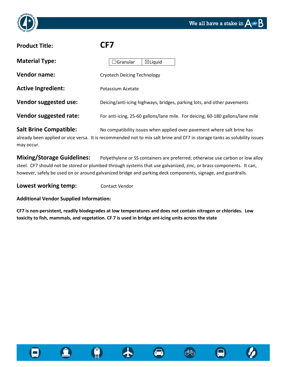

# **Product Title: CF7 Material Type: Vendor name:** Cryotech Deicing Technology Active Ingredient: Potassium Acetate **Vendor suggested use:** Deicing/anti-icing highways, bridges, parking lots, and other pavements **Vendor suggested rate:** For anti-icing, 25-60 gallons/lane mile. For deicing, 60-180 gallons/lane mile  $\Box$ Granular  $\Box$ Liquid

Salt Brine Compatible: No compatibility issues when applied over pavement where salt brine has already been applied or vice versa. It is recommended not to mix salt brine and CF7 in storage tanks as solubility issues may occur.

**Mixing/Storage Guidelines:** Polyethylene or SS containers are preferred; otherwise use carbon or low alloy steel. CF7 should not be stored or plumbed through systems that use galvanized, zinc, or brass components. It can, however, safely be used on or around galvanized bridge and parking deck components, signage, and guardrails.

**Lowest working temp:** Contact Vendor

**Additional Vendor Supplied Information:**

**CF7 is non-persistent, readily biodegrades at low temperatures and does not contain nitrogen or chlorides. Low toxicity to fish, mammals, and vegetation. CF 7 is used in bridge ant-icing units across the state**









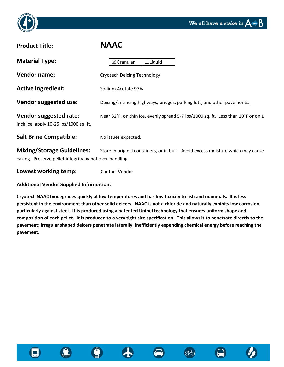



# **Product Title: NAAC Material Type: Vendor name:** Cryotech Deicing Technology  $\boxtimes$ Granular  $\Box$ Liquid

Active Ingredient: Sodium Acetate 97%

**Vendor suggested use:** Deicing/anti-icing highways, bridges, parking lots, and other pavements.

Vendor suggested rate: Near 32°F, on thin ice, evenly spread 5-7 lbs/1000 sq. ft. Less than 10°F or on 1 inch ice, apply 10-25 lbs/1000 sq. ft.

**Salt Brine Compatible:** No issues expected.

**Mixing/Storage Guidelines:** Store in original containers, or in bulk. Avoid excess moisture which may cause caking. Preserve pellet integrity by not over-handling.

**Lowest working temp:** Contact Vendor

### **Additional Vendor Supplied Information:**

**Cryotech NAAC biodegrades quickly at low temperatures and has low toxicity to fish and mammals. It is less persistent in the environment than other solid deicers. NAAC is not a chloride and naturally exhibits low corrosion, particularly against steel. It is produced using a patented Unipel technology that ensures uniform shape and composition of each pellet. It is produced to a very tight size specification. This allows it to penetrate directly to the pavement; irregular shaped deicers penetrate laterally, inefficiently expending chemical energy before reaching the pavement.** 







のでん しゅうかい かんじょう かいしゅう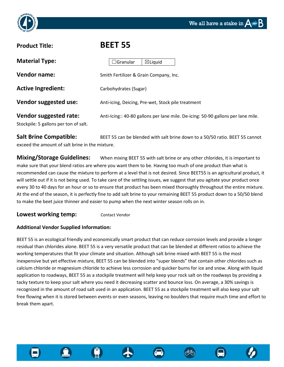



### **Product Title: BEET 55**

| <b>Material Type:</b>                                           | $\boxtimes$ Liquid<br>$\sqsupset$ Granular                                       |
|-----------------------------------------------------------------|----------------------------------------------------------------------------------|
| <b>Vendor name:</b>                                             | Smith Fertilizer & Grain Company, Inc.                                           |
| <b>Active Ingredient:</b>                                       | Carbohydrates (Sugar)                                                            |
| Vendor suggested use:                                           | Anti-icing, Deicing, Pre-wet, Stock pile treatment                               |
| Vendor suggested rate:<br>Stockpile: 5 gallons per ton of salt. | Anti-Icing:: 40-80 gallons per lane mile. De-icing: 50-90 gallons per lane mile. |

**Salt Brine Compatible:** BEET 55 can be blended with salt brine down to a 50/50 ratio. BEET 55 cannot exceed the amount of salt brine in the mixture.

**Mixing/Storage Guidelines:** When mixing BEET 55 with salt brine or any other chlorides, it is important to make sure that your blend ratios are where you want them to be. Having too much of one product than what is recommended can cause the mixture to perform at a level that is not desired. Since BEET55 is an agricultural product, it will settle out if it is not being used. To take care of the settling issues, we suggest that you agitate your product once every 30 to 40 days for an hour or so to ensure that product has been mixed thoroughly throughout the entire mixture. At the end of the season, it is perfectly fine to add salt brine to your remaining BEET 55 product down to a 50/50 blend to make the beet juice thinner and easier to pump when the next winter season rolls on in.

### **Lowest working temp:** Contact Vendor

### **Additional Vendor Supplied Information:**

BEET 55 is an ecological friendly and economically smart product that can reduce corrosion levels and provide a longer residual than chlorides alone. BEET 55 is a very versatile product that can be blended at different ratios to achieve the working temperatures that fit your climate and situation. Although salt brine mixed with BEET 55 is the most inexpensive but yet effective mixture, BEET 55 can be blended into "super blends" that contain other chlorides such as calcium chloride or magnesium chloride to achieve less corrosion and quicker burns for ice and snow. Along with liquid application to roadways, BEET 55 as a stockpile treatment will help keep your rock salt on the roadways by providing a tacky texture to keep your salt where you need it decreasing scatter and bounce loss. On average, a 30% savings is recognized in the amount of road salt used in an application. BEET 55 as a stockpile treatment will also keep your salt free flowing when it is stored between events or even seasons, leaving no boulders that require much time and effort to break them apart.

ক্ষ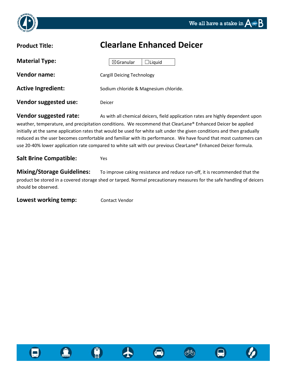



| <b>Clearlane Enhanced Deicer</b>      |
|---------------------------------------|
| $\boxtimes$ Granular<br>$\Box$ Liquid |
| <b>Cargill Deicing Technology</b>     |
| Sodium chloride & Magnesium chloride. |
| Deicer                                |
|                                       |

**Vendor suggested rate:** As with all chemical deicers, field application rates are highly dependent upon weather, temperature, and precipitation conditions. We recommend that ClearLane® Enhanced Deicer be applied initially at the same application rates that would be used for white salt under the given conditions and then gradually reduced as the user becomes comfortable and familiar with its performance. We have found that most customers can use 20-40% lower application rate compared to white salt with our previous ClearLane® Enhanced Deicer formula.

### **Salt Brine Compatible:** Yes

**Mixing/Storage Guidelines:** To improve caking resistance and reduce run-off, it is recommended that the product be stored in a covered storage shed or tarped. Normal precautionary measures for the safe handling of deicers should be observed.

**Lowest working temp:** Contact Vendor







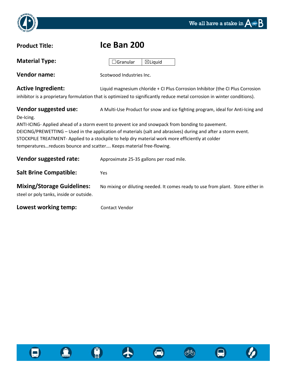



| <b>Product Title:</b>                                                                                                                                                                                                                                                                                                                                                                                                                                                                                                 | Ice Ban 200                                                                                                                                                                                               |  |
|-----------------------------------------------------------------------------------------------------------------------------------------------------------------------------------------------------------------------------------------------------------------------------------------------------------------------------------------------------------------------------------------------------------------------------------------------------------------------------------------------------------------------|-----------------------------------------------------------------------------------------------------------------------------------------------------------------------------------------------------------|--|
| <b>Material Type:</b>                                                                                                                                                                                                                                                                                                                                                                                                                                                                                                 | Granular<br>$\boxtimes$ Liquid                                                                                                                                                                            |  |
| <b>Vendor name:</b>                                                                                                                                                                                                                                                                                                                                                                                                                                                                                                   | Scotwood Industries Inc.                                                                                                                                                                                  |  |
| <b>Active Ingredient:</b>                                                                                                                                                                                                                                                                                                                                                                                                                                                                                             | Liquid magnesium chloride + CI Plus Corrosion Inhibitor (the CI Plus Corrosion<br>inhibitor is a proprietary formulation that is optimized to significantly reduce metal corrosion in winter conditions). |  |
| Vendor suggested use:<br>A Multi-Use Product for snow and ice fighting program, ideal for Anti-Icing and<br>De-Icing.<br>ANTI-ICING- Applied ahead of a storm event to prevent ice and snowpack from bonding to pavement.<br>DEICING/PREWETTING - Used in the application of materials (salt and abrasives) during and after a storm event.<br>STOCKPILE TREATMENT-Applied to a stockpile to help dry material work more efficiently at colder<br>temperaturesreduces bounce and scatter Keeps material free-flowing. |                                                                                                                                                                                                           |  |
| Vendor suggested rate:                                                                                                                                                                                                                                                                                                                                                                                                                                                                                                | Approximate 25-35 gallons per road mile.                                                                                                                                                                  |  |
| <b>Salt Brine Compatible:</b>                                                                                                                                                                                                                                                                                                                                                                                                                                                                                         | Yes                                                                                                                                                                                                       |  |
| <b>Mixing/Storage Guidelines:</b><br>steel or poly tanks, inside or outside.                                                                                                                                                                                                                                                                                                                                                                                                                                          | No mixing or diluting needed. It comes ready to use from plant. Store either in                                                                                                                           |  |
| Lowest working temp:                                                                                                                                                                                                                                                                                                                                                                                                                                                                                                  | <b>Contact Vendor</b>                                                                                                                                                                                     |  |







 $\bullet$ 

66

 $\boldsymbol{\varnothing}$ 

 $\bullet$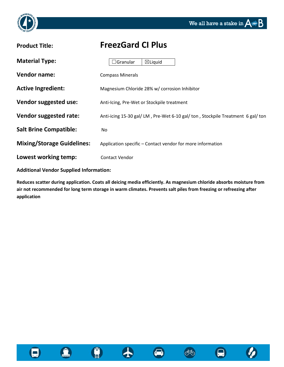



### **Product Title: FreezGard CI Plus**

| <b>Material Type:</b>             | $\boxtimes$ Liquid<br>$\Box$ Granular                                        |
|-----------------------------------|------------------------------------------------------------------------------|
| <b>Vendor name:</b>               | <b>Compass Minerals</b>                                                      |
| <b>Active Ingredient:</b>         | Magnesium Chloride 28% w/ corrosion Inhibitor                                |
| Vendor suggested use:             | Anti-Icing, Pre-Wet or Stockpile treatment                                   |
| Vendor suggested rate:            | Anti-icing 15-30 gal/LM, Pre-Wet 6-10 gal/ton, Stockpile Treatment 6 gal/ton |
| <b>Salt Brine Compatible:</b>     | No.                                                                          |
| <b>Mixing/Storage Guidelines:</b> | Application specific – Contact vendor for more information                   |
| Lowest working temp:              | Contact Vendor                                                               |

**Additional Vendor Supplied Information:**

**Reduces scatter during application. Coats all deicing media efficiently. As magnesium chloride absorbs moisture from air not recommended for long term storage in warm climates. Prevents salt piles from freezing or refreezing after application**



 $\mathbf{\Omega}$ 



000

╋

 $\boldsymbol{\boldsymbol{\square}}$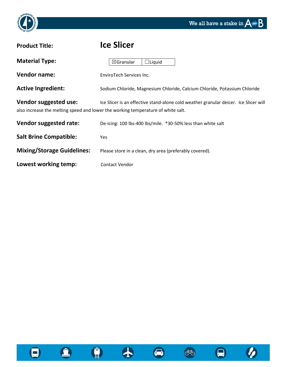



| <b>Product Title:</b>             | <b>Ice Slicer</b>                                                                                                                                                        |
|-----------------------------------|--------------------------------------------------------------------------------------------------------------------------------------------------------------------------|
| <b>Material Type:</b>             | $\boxtimes$ Granular<br>$\Box$ Liquid                                                                                                                                    |
| <b>Vendor name:</b>               | EnviroTech Services Inc.                                                                                                                                                 |
| <b>Active Ingredient:</b>         | Sodium Chloride, Magnesium Chloride, Calcium Chloride, Potassium Chloride                                                                                                |
| Vendor suggested use:             | Ice Slicer is an effective stand-alone cold weather granular deicer. Ice Slicer will<br>also increase the melting speed and lower the working temperature of white salt. |
| Vendor suggested rate:            | De-icing: 100 lbs-400 lbs/mile. *30-50% less than white salt                                                                                                             |
| <b>Salt Brine Compatible:</b>     | <b>Yes</b>                                                                                                                                                               |
| <b>Mixing/Storage Guidelines:</b> | Please store in a clean, dry area (preferably covered).                                                                                                                  |
| Lowest working temp:              | <b>Contact Vendor</b>                                                                                                                                                    |





 $\bullet$ 







 $\boldsymbol{\Theta}$ 

 $\boldsymbol{\varnothing}$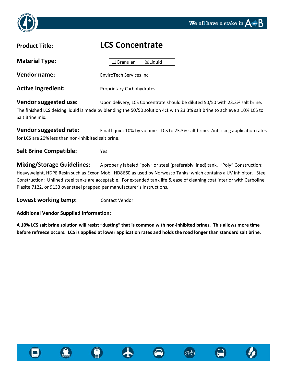

### **Product Title: LCS Concentrate**

| <b>Material Type:</b>     | $\boxtimes$ Liquid<br>$\Box$ Granular |
|---------------------------|---------------------------------------|
| <b>Vendor name:</b>       | EnviroTech Services Inc.              |
| <b>Active Ingredient:</b> | Proprietary Carbohydrates             |

**Vendor suggested use:** Upon delivery, LCS Concentrate should be diluted 50/50 with 23.3% salt brine. The finished LCS deicing liquid is made by blending the 50/50 solution 4:1 with 23.3% salt brine to achieve a 10% LCS to Salt Brine mix.

**Vendor suggested rate:** Final liquid: 10% by volume - LCS to 23.3% salt brine. Anti-icing application rates for LCS are 20% less than non-inhibited salt brine.

**Salt Brine Compatible:** Yes

**Mixing/Storage Guidelines:** A properly labeled "poly" or steel (preferably lined) tank. "Poly" Construction: Heavyweight, HDPE Resin such as Exxon Mobil HD8660 as used by Norwesco Tanks; which contains a UV inhibitor. Steel Construction: Unlined steel tanks are acceptable. For extended tank life & ease of cleaning coat interior with Carboline Plasite 7122, or 9133 over steel prepped per manufacturer's instructions.

**Lowest working temp:** Contact Vendor

**Additional Vendor Supplied Information:**

**A 10% LCS salt brine solution will resist "dusting" that is common with non-inhibited brines. This allows more time before refreeze occurs. LCS is applied at lower application rates and holds the road longer than standard salt brine.**









We all have a stake in  $\Delta$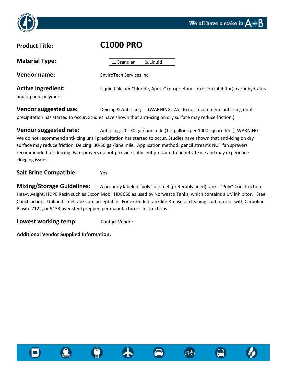



**Material Type:** 

# **Product Title: C1000 PRO**  $\Box$ Granular  $\Box$

| <b>IVIALCITAL LYPC.</b>                           | ⊟Granular<br>⊠⊔laula                                                             |
|---------------------------------------------------|----------------------------------------------------------------------------------|
| <b>Vendor name:</b>                               | EnviroTech Services Inc.                                                         |
| <b>Active Ingredient:</b><br>and organic polymers | Liquid Calcium Chloride, Apex-C (proprietary corrosion inhibitor), carbohydrates |
|                                                   |                                                                                  |

**Vendor suggested use:** Deicing & Anti-icing. (WARNING: We do not recommend anti-icing until precipitation has started to occur. Studies have shown that anti-icing on dry surface may reduce friction.)

**Vendor suggested rate:** Anti-icing: 20 -30 gal/lane mile (1-2 gallons per 1000 square feet). WARNING: We do not recommend anti-icing until precipitation has started to occur. Studies have shown that anti-icing on dry surface may reduce friction. Deicing: 30-50 gal/lane mile. Application method: pencil streams NOT fan sprayers recommended for deicing. Fan sprayers do not pro-vide sufficient pressure to penetrate ice and may experience clogging issues.

### **Salt Brine Compatible:** Yes

**Mixing/Storage Guidelines:** A properly labeled "poly" or steel (preferably lined) tank. "Poly" Construction: Heavyweight, HDPE Resin such as Exxon Mobil HD8660 as used by Norwesco Tanks; which contains a UV inhibitor. Steel Construction: Unlined steel tanks are acceptable. For extended tank life & ease of cleaning coat interior with Carboline Plasite 7122, or 9133 over steel prepped per manufacturer's instructions.

**Lowest working temp:** Contact Vendor

**Additional Vendor Supplied Information:**







රුරු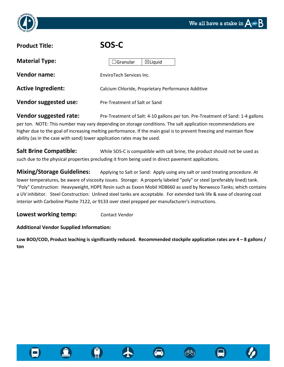



### **Product Title: SOS-C**

| <b>Material Type:</b>     | $\boxtimes$ Liquid<br>$\Box$ Granular              |
|---------------------------|----------------------------------------------------|
| Vendor name:              | EnviroTech Services Inc.                           |
| <b>Active Ingredient:</b> | Calcium Chloride, Proprietary Performance Additive |
| Vendor suggested use:     | Pre-Treatment of Salt or Sand                      |

**Vendor suggested rate:** Pre-Treatment of Salt: 4-10 gallons per ton. Pre-Treatment of Sand: 1-4 gallons per ton. NOTE: This number may vary depending on storage conditions. The salt application recommendations are higher due to the goal of increasing melting performance. If the main goal is to prevent freezing and maintain flow ability (as in the case with sand) lower application rates may be used.

**Salt Brine Compatible:** While SOS-C is compatible with salt brine, the product should not be used as such due to the physical properties precluding it from being used in direct pavement applications.

**Mixing/Storage Guidelines:** Applying to Salt or Sand: Apply using any salt or sand treating procedure. At lower temperatures, be aware of viscosity issues. Storage: A properly labeled "poly" or steel (preferably lined) tank. "Poly" Construction: Heavyweight, HDPE Resin such as Exxon Mobil HD8660 as used by Norwesco Tanks; which contains a UV inhibitor. Steel Construction: Unlined steel tanks are acceptable. For extended tank life & ease of cleaning coat interior with Carboline Plasite 7122, or 9133 over steel prepped per manufacturer's instructions.

**Lowest working temp:** Contact Vendor

### **Additional Vendor Supplied Information:**

**Low BOD/COD, Product leaching is significantly reduced. Recommended stockpile application rates are 4 – 8 gallons / ton**









රෝල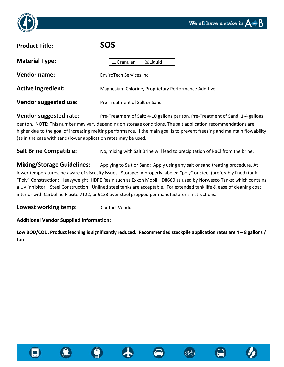



| <b>Product Title:</b>        | <b>SOS</b>                                           |
|------------------------------|------------------------------------------------------|
| <b>Material Type:</b>        | $\boxtimes$ Liquid<br>$\Box$ Granular                |
| <b>Vendor name:</b>          | EnviroTech Services Inc.                             |
| <b>Active Ingredient:</b>    | Magnesium Chloride, Proprietary Performance Additive |
| <b>Vendor suggested use:</b> | Pre-Treatment of Salt or Sand                        |

**Vendor suggested rate:** Pre-Treatment of Salt: 4-10 gallons per ton. Pre-Treatment of Sand: 1-4 gallons per ton. NOTE: This number may vary depending on storage conditions. The salt application recommendations are higher due to the goal of increasing melting performance. If the main goal is to prevent freezing and maintain flowability (as in the case with sand) lower application rates may be used.

Salt Brine Compatible: No, mixing with Salt Brine will lead to precipitation of NaCl from the brine.

**Mixing/Storage Guidelines:** Applying to Salt or Sand: Apply using any salt or sand treating procedure. At lower temperatures, be aware of viscosity issues. Storage: A properly labeled "poly" or steel (preferably lined) tank. "Poly" Construction: Heavyweight, HDPE Resin such as Exxon Mobil HD8660 as used by Norwesco Tanks; which contains a UV inhibitor. Steel Construction: Unlined steel tanks are acceptable. For extended tank life & ease of cleaning coat interior with Carboline Plasite 7122, or 9133 over steel prepped per manufacturer's instructions.

**Lowest working temp:** Contact Vendor

### **Additional Vendor Supplied Information:**

**Low BOD/COD, Product leaching is significantly reduced. Recommended stockpile application rates are 4 – 8 gallons / ton**







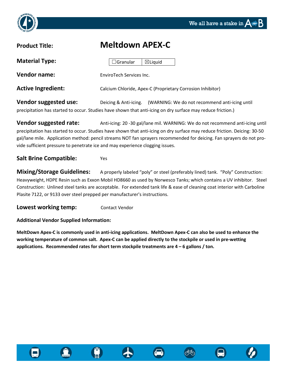

### **Product Title: Meltdown APEX-C**

| <b>Material Type:</b>     | $\Box$ Granular          | $\boxtimes$ Liquid |                                                            |
|---------------------------|--------------------------|--------------------|------------------------------------------------------------|
| <b>Vendor name:</b>       | EnviroTech Services Inc. |                    |                                                            |
| <b>Active Ingredient:</b> |                          |                    | Calcium Chloride, Apex-C (Proprietary Corrosion Inhibitor) |

**Vendor suggested use:** Deicing & Anti-icing. (WARNING: We do not recommend anti-icing until precipitation has started to occur. Studies have shown that anti-icing on dry surface may reduce friction.)

**Vendor suggested rate:** Anti-icing: 20 -30 gal/lane mil. WARNING: We do not recommend anti-icing until precipitation has started to occur. Studies have shown that anti-icing on dry surface may reduce friction. Deicing: 30-50 gal/lane mile. Application method: pencil streams NOT fan sprayers recommended for deicing. Fan sprayers do not provide sufficient pressure to penetrate ice and may experience clogging issues.

**Salt Brine Compatible:** Yes

**Mixing/Storage Guidelines:** A properly labeled "poly" or steel (preferably lined) tank. "Poly" Construction: Heavyweight, HDPE Resin such as Exxon Mobil HD8660 as used by Norwesco Tanks; which contains a UV inhibitor. Steel Construction: Unlined steel tanks are acceptable. For extended tank life & ease of cleaning coat interior with Carboline Plasite 7122, or 9133 over steel prepped per manufacturer's instructions.

**Lowest working temp:** Contact Vendor

**Additional Vendor Supplied Information:**

**MeltDown Apex-C is commonly used in anti-icing applications. MeltDown Apex-C can also be used to enhance the working temperature of common salt. Apex-C can be applied directly to the stockpile or used in pre-wetting applications. Recommended rates for short term stockpile treatments are 4 – 6 gallons / ton.**









ැති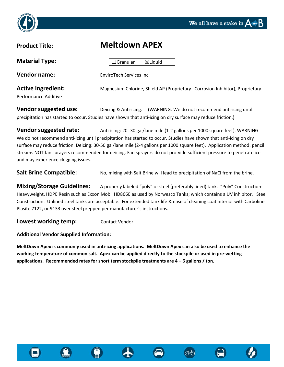



### **Product Title: Meltdown APEX**

| <b>Material Type:</b>                             | $\boxtimes$ Liquid<br>$\Box$ Granular                                        |
|---------------------------------------------------|------------------------------------------------------------------------------|
| <b>Vendor name:</b>                               | EnviroTech Services Inc.                                                     |
| <b>Active Ingredient:</b><br>Performance Additive | Magnesium Chloride, Shield AP (Proprietary Corrosion Inhibitor), Proprietary |

**Vendor suggested use:** Deicing & Anti-icing. (WARNING: We do not recommend anti-icing until precipitation has started to occur. Studies have shown that anti-icing on dry surface may reduce friction.)

**Vendor suggested rate:** Anti-icing: 20 -30 gal/lane mile (1-2 gallons per 1000 square feet). WARNING: We do not recommend anti-icing until precipitation has started to occur. Studies have shown that anti-icing on dry surface may reduce friction. Deicing: 30-50 gal/lane mile (2-4 gallons per 1000 square feet). Application method: pencil streams NOT fan sprayers recommended for deicing. Fan sprayers do not pro-vide sufficient pressure to penetrate ice and may experience clogging issues.

**Salt Brine Compatible:** No, mixing with Salt Brine will lead to precipitation of NaCl from the brine.

**Mixing/Storage Guidelines:** A properly labeled "poly" or steel (preferably lined) tank. "Poly" Construction: Heavyweight, HDPE Resin such as Exxon Mobil HD8660 as used by Norwesco Tanks; which contains a UV inhibitor. Steel Construction: Unlined steel tanks are acceptable. For extended tank life & ease of cleaning coat interior with Carboline Plasite 7122, or 9133 over steel prepped per manufacturer's instructions.

**Lowest working temp:** Contact Vendor

**Additional Vendor Supplied Information:**

**MeltDown Apex is commonly used in anti-icing applications. MeltDown Apex can also be used to enhance the working temperature of common salt. Apex can be applied directly to the stockpile or used in pre-wetting applications. Recommended rates for short term stockpile treatments are 4 – 6 gallons / ton.**







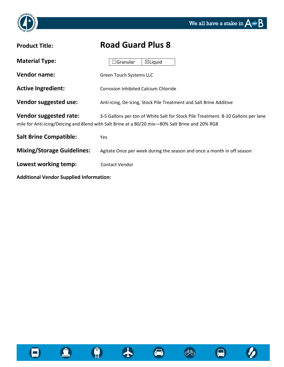

| <b>Product Title:</b>                          | <b>Road Guard Plus 8</b>                                                                                                                                                             |
|------------------------------------------------|--------------------------------------------------------------------------------------------------------------------------------------------------------------------------------------|
| <b>Material Type:</b>                          | <b>Granular</b><br>$\boxtimes$ Liquid                                                                                                                                                |
| <b>Vendor name:</b>                            | <b>Green Touch Systems LLC</b>                                                                                                                                                       |
| <b>Active Ingredient:</b>                      | <b>Corrosion Inhibited Calcium Chloride</b>                                                                                                                                          |
| Vendor suggested use:                          | Anti-icing, De-Icing, Stock Pile Treatment and Salt Brine Additive                                                                                                                   |
| Vendor suggested rate:                         | 3-5 Gallons per ton of White Salt for Stock Pile Treatment. 8-10 Gallons per lane<br>mile for Anti-Icing/Deicing and Blend with Salt Brine at a 80/20 mix-80% Salt Brine and 20% RG8 |
| <b>Salt Brine Compatible:</b>                  | <b>Yes</b>                                                                                                                                                                           |
| <b>Mixing/Storage Guidelines:</b>              | Agitate Once per week during the season and once a month in off season                                                                                                               |
| Lowest working temp:                           | <b>Contact Vendor</b>                                                                                                                                                                |
| <b>Additional Vendor Supplied Information:</b> |                                                                                                                                                                                      |



 $\bullet$ 



 $\bullet$ 

66

 $\boldsymbol{\varnothing}$ 

 $\bullet$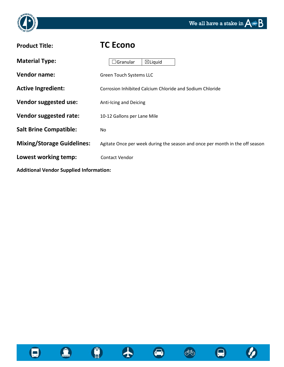



| <b>Product Title:</b>                          | <b>TC Econo</b>                                                              |
|------------------------------------------------|------------------------------------------------------------------------------|
| <b>Material Type:</b>                          | $\boxtimes$ Liquid<br>$\exists$ Granular                                     |
| <b>Vendor name:</b>                            | Green Touch Systems LLC                                                      |
| <b>Active Ingredient:</b>                      | Corrosion Inhibited Calcium Chloride and Sodium Chloride                     |
| Vendor suggested use:                          | Anti-Icing and Deicing                                                       |
| Vendor suggested rate:                         | 10-12 Gallons per Lane Mile                                                  |
| <b>Salt Brine Compatible:</b>                  | No                                                                           |
| <b>Mixing/Storage Guidelines:</b>              | Agitate Once per week during the season and once per month in the off season |
| Lowest working temp:                           | <b>Contact Vendor</b>                                                        |
| <b>Additional Vendor Supplied Information:</b> |                                                                              |



**CONTRACT** 



 $\bullet$ 





 $\boldsymbol{\varnothing}$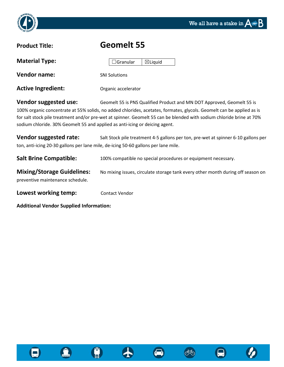



| <b>Product Title:</b>     | <b>Geomelt 55</b>                                                      |
|---------------------------|------------------------------------------------------------------------|
| <b>Material Type:</b>     | $\boxtimes$ Liquid<br>$\Box$ Granular                                  |
| <b>Vendor name:</b>       | <b>SNI Solutions</b>                                                   |
| <b>Active Ingredient:</b> | Organic accelerator                                                    |
| Vendor suggested use:     | Geomelt 55 is PNS Qualified Product and MN DOT Approved, Geomelt 55 is |

100% organic concentrate at 55% solids, no added chlorides, acetates, formates, glycols. Geomelt can be applied as is for salt stock pile treatment and/or pre-wet at spinner. Geomelt 55 can be blended with sodium chloride brine at 70% sodium chloride. 30% Geomelt 55 and applied as anti-icing or deicing agent.

**Vendor suggested rate:** Salt Stock pile treatment 4-5 gallons per ton, pre-wet at spinner 6-10 gallons per ton, anti-icing 20-30 gallons per lane mile, de-icing 50-60 gallons per lane mile.

**Salt Brine Compatible:** 100% compatible no special procedures or equipment necessary.

**Mixing/Storage Guidelines:** No mixing issues, circulate storage tank every other month during off season on preventive maintenance schedule.

**Lowest working temp:** Contact Vendor

**Additional Vendor Supplied Information:**







රෝල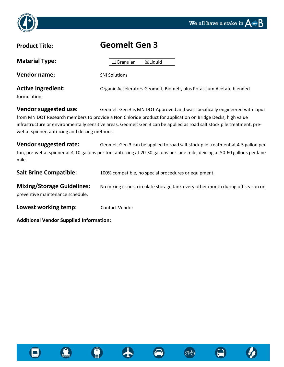

### **Product Title: Geomelt Gen 3**

| <b>Material Type:</b>     | $\boxtimes$ Liquid<br>$\Box$ Granular                                 |
|---------------------------|-----------------------------------------------------------------------|
| <b>Vendor name:</b>       | <b>SNI Solutions</b>                                                  |
| <b>Active Ingredient:</b> | Organic Accelerators Geomelt, Biomelt, plus Potassium Acetate blended |
| formulation.              |                                                                       |

**Vendor suggested use:** Geomelt Gen 3 is MN DOT Approved and was specifically engineered with input from MN DOT Research members to provide a Non Chloride product for application on Bridge Decks, high value infrastructure or environmentally sensitive areas. Geomelt Gen 3 can be applied as road salt stock pile treatment, prewet at spinner, anti-icing and deicing methods.

**Vendor suggested rate:** Geomelt Gen 3 can be applied to road salt stock pile treatment at 4-5 gallon per ton, pre-wet at spinner at 4-10 gallons per ton, anti-icing at 20-30 gallons per lane mile, deicing at 50-60 gallons per lane mile.

| <b>Salt Brine Compatible:</b>                                         | 100% compatible, no special procedures or equipment.                            |
|-----------------------------------------------------------------------|---------------------------------------------------------------------------------|
| <b>Mixing/Storage Guidelines:</b><br>preventive maintenance schedule. | No mixing issues, circulate storage tank every other month during off season on |
| Lowest working temp:                                                  | <b>Contact Vendor</b>                                                           |

**Additional Vendor Supplied Information:**









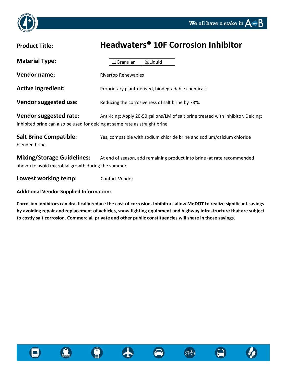

# **Product Title: Headwaters® 10F Corrosion Inhibitor Material Type: Vendor name:** Rivertop Renewables Active Ingredient: **Proprietary plant-derived, biodegradable chemicals. Vendor suggested use:** Reducing the corrosiveness of salt brine by 73%. **Vendor suggested rate:** Anti-icing: Apply 20-50 gallons/LM of salt brine treated with inhibitor. Deicing: Inhibited brine can also be used for deicing at same rate as straight brine **Salt Brine Compatible:** Yes, compatible with sodium chloride brine and sodium/calcium chloride blended brine. **Mixing/Storage Guidelines:** At end of season, add remaining product into brine (at rate recommended  $\Box$ Granular  $\Box$ Liquid

above) to avoid microbial growth during the summer.

**Lowest working temp:** Contact Vendor

**Additional Vendor Supplied Information:**

**Corrosion inhibitors can drastically reduce the cost of corrosion. Inhibitors allow MnDOT to realize significant savings by avoiding repair and replacement of vehicles, snow fighting equipment and highway infrastructure that are subject to costly salt corrosion. Commercial, private and other public constituencies will share in those savings.**







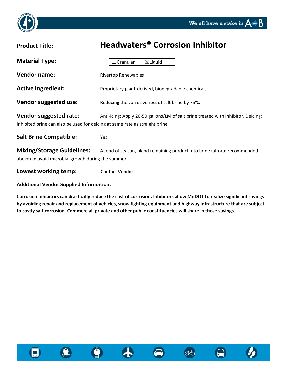



| <b>Product Title:</b>                                                                                 | <b>Headwaters<sup>®</sup> Corrosion Inhibitor</b>                                 |
|-------------------------------------------------------------------------------------------------------|-----------------------------------------------------------------------------------|
| <b>Material Type:</b>                                                                                 | $\boxtimes$ Liquid<br>Granular                                                    |
| <b>Vendor name:</b>                                                                                   | <b>Rivertop Renewables</b>                                                        |
| <b>Active Ingredient:</b>                                                                             | Proprietary plant-derived, biodegradable chemicals.                               |
| Vendor suggested use:                                                                                 | Reducing the corrosiveness of salt brine by 75%.                                  |
| Vendor suggested rate:<br>Inhibited brine can also be used for deicing at same rate as straight brine | Anti-icing: Apply 20-50 gallons/LM of salt brine treated with inhibitor. Deicing: |
| <b>Salt Brine Compatible:</b>                                                                         | Yes                                                                               |
| <b>Mixing/Storage Guidelines:</b><br>above) to avoid microbial growth during the summer.              | At end of season, blend remaining product into brine (at rate recommended         |
| Lowest working temp:                                                                                  | <b>Contact Vendor</b>                                                             |

### **Additional Vendor Supplied Information:**

**Corrosion inhibitors can drastically reduce the cost of corrosion. Inhibitors allow MnDOT to realize significant savings by avoiding repair and replacement of vehicles, snow fighting equipment and highway infrastructure that are subject to costly salt corrosion. Commercial, private and other public constituencies will share in those savings.**







**්**ත

 $\blacksquare$